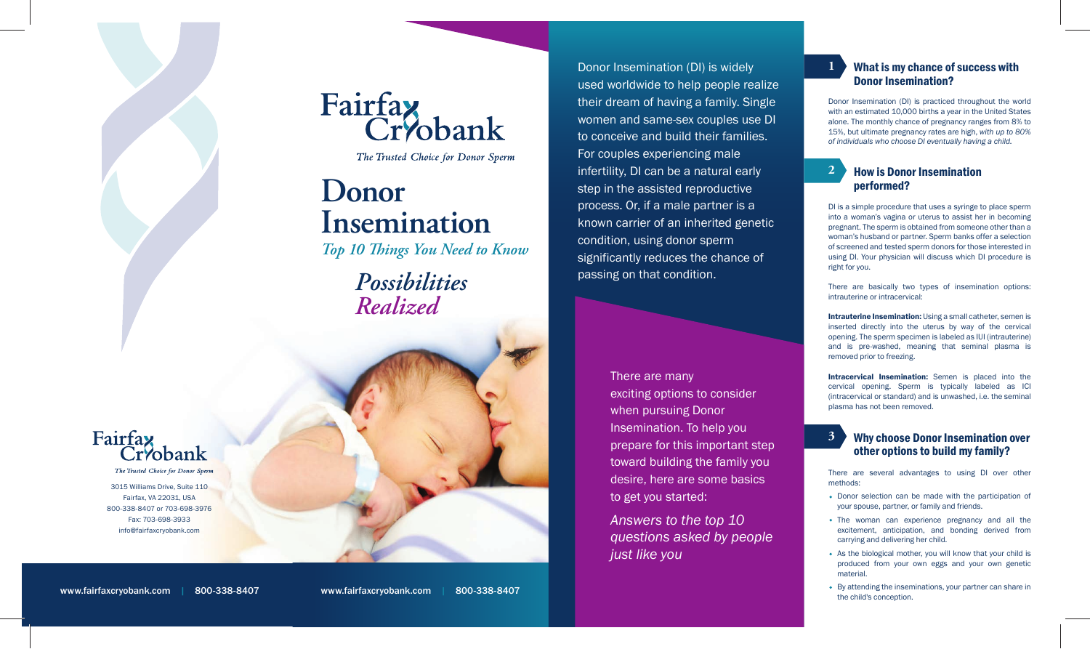

The Trusted Choice for Donor Sperm

Donor Insemination (DI) is practiced throughout the world with an estimated 10,000 births a year in the United States alone. The monthly chance of pregnancy ranges from 8% to 15%, but ultimate pregnancy rates are high, *with up to 80% of individuals who choose DI eventually having a child.* 

### $3$  Why choose Donor Insemination over other options to build my family? since its inception, it is one of the most popular services

 $\mathbf{F}(\mathbf{x}) = \mathbf{F}(\mathbf{x})$  is fairfax controlled free online free online free online free online free online free

# What is my chance of success with Donor Insemination?

**1**

Intracervical Insemination: Semen is placed into the cervical opening. Sperm is typically labeled as ICI (intracervical or standard) and is unwashed, i.e. the seminal plasma has not been removed.

DI is a simple procedure that uses a syringe to place sperm into a woman's vagina or uterus to assist her in becoming pregnant. The sperm is obtained from someone other than a woman's husband or partner. Sperm banks offer a selection of screened and tested sperm donors for those interested in using DI. Your physician will discuss which DI procedure is right for you.

There are several advantages to using DI over other methods:

• The woman can experience pregnancy and all the excitement, anticipation, and bonding derived from carrying and delivering her child.

There are basically two types of insemination options: intrauterine or intracervical:

Intrauterine Insemination: Using a small catheter, semen is inserted directly into the uterus by way of the cervical opening. The sperm specimen is labeled as IUI (intrauterine) and is pre-washed, meaning that seminal plasma is removed prior to freezing.

Donor selection can be made with the participation of your spouse, partner, or family and friends.

As the biological mother, you will know that your child is produced from your own eggs and your own genetic material.

By attending the inseminations, your partner can share in the child's conception.

# How is Donor Insemination performed?

**2**

**3**



3015 Williams Drive, Suite 110 Fairfax, VA 22031, USA 800-338-8407 or 703-698-3976 Fax: 703-698-3933 info@fairfaxcryobank.com

Donor Insemination (DI) is widely used worldwide to help people realize their dream of having a family. Single women and same-sex couples use DI to conceive and build their families. For couples experiencing male infertility, DI can be a natural early step in the assisted reproductive process. Or, if a male partner is a known carrier of an inherited genetic condition, using donor sperm significantly reduces the chance of

passing on that condition.

There are many

exciting options to consider when pursuing Donor Insemination. To help you prepare for this important step toward building the family you desire, here are some basics to get you started:

*Answers to the top 10 questions asked by people just like you*



The Trusted Choice for Donor Spern

*Possibilities Realized*

# **Donor Insemination**

*Top 10 Things You Need to Know*